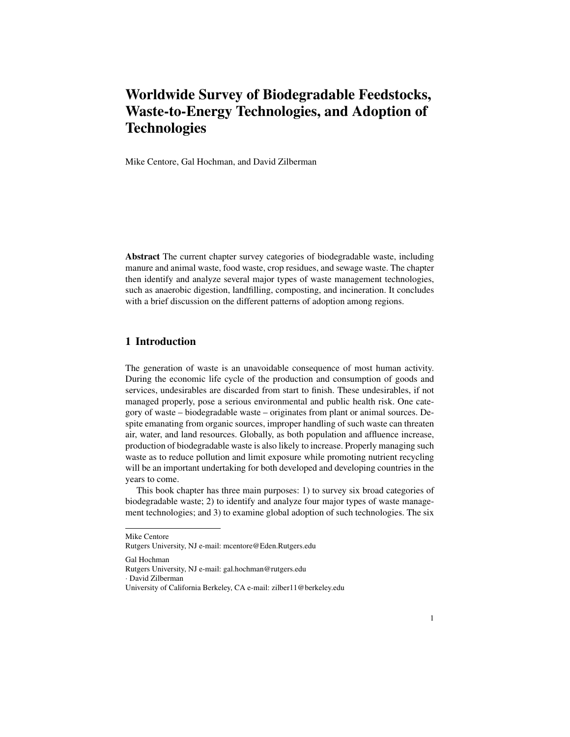# Worldwide Survey of Biodegradable Feedstocks, Waste-to-Energy Technologies, and Adoption of **Technologies**

Mike Centore, Gal Hochman, and David Zilberman

Abstract The current chapter survey categories of biodegradable waste, including manure and animal waste, food waste, crop residues, and sewage waste. The chapter then identify and analyze several major types of waste management technologies, such as anaerobic digestion, landfilling, composting, and incineration. It concludes with a brief discussion on the different patterns of adoption among regions.

# 1 Introduction

The generation of waste is an unavoidable consequence of most human activity. During the economic life cycle of the production and consumption of goods and services, undesirables are discarded from start to finish. These undesirables, if not managed properly, pose a serious environmental and public health risk. One category of waste – biodegradable waste – originates from plant or animal sources. Despite emanating from organic sources, improper handling of such waste can threaten air, water, and land resources. Globally, as both population and affluence increase, production of biodegradable waste is also likely to increase. Properly managing such waste as to reduce pollution and limit exposure while promoting nutrient recycling will be an important undertaking for both developed and developing countries in the years to come.

This book chapter has three main purposes: 1) to survey six broad categories of biodegradable waste; 2) to identify and analyze four major types of waste management technologies; and 3) to examine global adoption of such technologies. The six

Gal Hochman

· David Zilberman

Mike Centore

Rutgers University, NJ e-mail: mcentore@Eden.Rutgers.edu

Rutgers University, NJ e-mail: gal.hochman@rutgers.edu

University of California Berkeley, CA e-mail: zilber11@berkeley.edu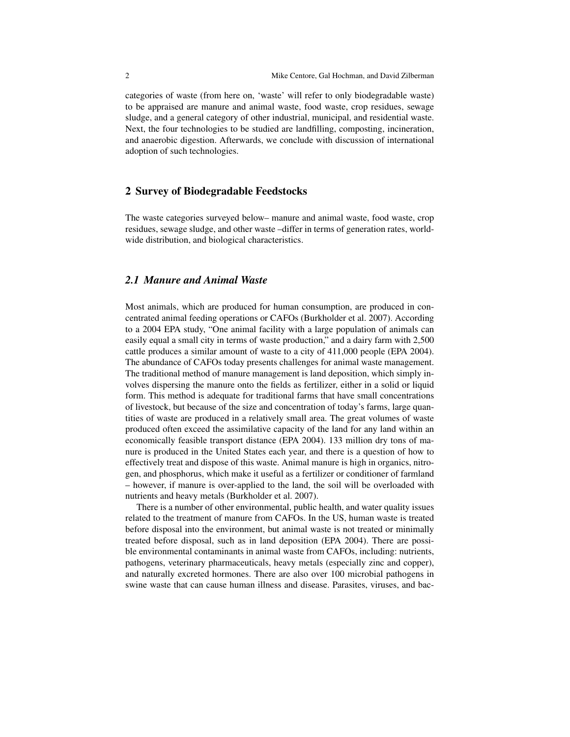categories of waste (from here on, 'waste' will refer to only biodegradable waste) to be appraised are manure and animal waste, food waste, crop residues, sewage sludge, and a general category of other industrial, municipal, and residential waste. Next, the four technologies to be studied are landfilling, composting, incineration, and anaerobic digestion. Afterwards, we conclude with discussion of international adoption of such technologies.

# 2 Survey of Biodegradable Feedstocks

The waste categories surveyed below– manure and animal waste, food waste, crop residues, sewage sludge, and other waste –differ in terms of generation rates, worldwide distribution, and biological characteristics.

# *2.1 Manure and Animal Waste*

Most animals, which are produced for human consumption, are produced in concentrated animal feeding operations or CAFOs (Burkholder et al. 2007). According to a 2004 EPA study, "One animal facility with a large population of animals can easily equal a small city in terms of waste production," and a dairy farm with 2,500 cattle produces a similar amount of waste to a city of 411,000 people (EPA 2004). The abundance of CAFOs today presents challenges for animal waste management. The traditional method of manure management is land deposition, which simply involves dispersing the manure onto the fields as fertilizer, either in a solid or liquid form. This method is adequate for traditional farms that have small concentrations of livestock, but because of the size and concentration of today's farms, large quantities of waste are produced in a relatively small area. The great volumes of waste produced often exceed the assimilative capacity of the land for any land within an economically feasible transport distance (EPA 2004). 133 million dry tons of manure is produced in the United States each year, and there is a question of how to effectively treat and dispose of this waste. Animal manure is high in organics, nitrogen, and phosphorus, which make it useful as a fertilizer or conditioner of farmland – however, if manure is over-applied to the land, the soil will be overloaded with nutrients and heavy metals (Burkholder et al. 2007).

There is a number of other environmental, public health, and water quality issues related to the treatment of manure from CAFOs. In the US, human waste is treated before disposal into the environment, but animal waste is not treated or minimally treated before disposal, such as in land deposition (EPA 2004). There are possible environmental contaminants in animal waste from CAFOs, including: nutrients, pathogens, veterinary pharmaceuticals, heavy metals (especially zinc and copper), and naturally excreted hormones. There are also over 100 microbial pathogens in swine waste that can cause human illness and disease. Parasites, viruses, and bac-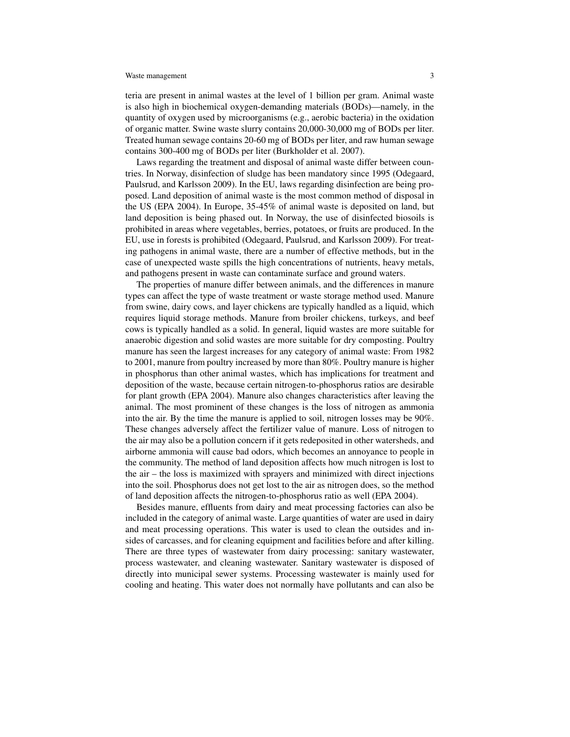teria are present in animal wastes at the level of 1 billion per gram. Animal waste is also high in biochemical oxygen-demanding materials (BODs)—namely, in the quantity of oxygen used by microorganisms (e.g., aerobic bacteria) in the oxidation of organic matter. Swine waste slurry contains 20,000-30,000 mg of BODs per liter. Treated human sewage contains 20-60 mg of BODs per liter, and raw human sewage contains 300-400 mg of BODs per liter (Burkholder et al. 2007).

Laws regarding the treatment and disposal of animal waste differ between countries. In Norway, disinfection of sludge has been mandatory since 1995 (Odegaard, Paulsrud, and Karlsson 2009). In the EU, laws regarding disinfection are being proposed. Land deposition of animal waste is the most common method of disposal in the US (EPA 2004). In Europe, 35-45% of animal waste is deposited on land, but land deposition is being phased out. In Norway, the use of disinfected biosoils is prohibited in areas where vegetables, berries, potatoes, or fruits are produced. In the EU, use in forests is prohibited (Odegaard, Paulsrud, and Karlsson 2009). For treating pathogens in animal waste, there are a number of effective methods, but in the case of unexpected waste spills the high concentrations of nutrients, heavy metals, and pathogens present in waste can contaminate surface and ground waters.

The properties of manure differ between animals, and the differences in manure types can affect the type of waste treatment or waste storage method used. Manure from swine, dairy cows, and layer chickens are typically handled as a liquid, which requires liquid storage methods. Manure from broiler chickens, turkeys, and beef cows is typically handled as a solid. In general, liquid wastes are more suitable for anaerobic digestion and solid wastes are more suitable for dry composting. Poultry manure has seen the largest increases for any category of animal waste: From 1982 to 2001, manure from poultry increased by more than 80%. Poultry manure is higher in phosphorus than other animal wastes, which has implications for treatment and deposition of the waste, because certain nitrogen-to-phosphorus ratios are desirable for plant growth (EPA 2004). Manure also changes characteristics after leaving the animal. The most prominent of these changes is the loss of nitrogen as ammonia into the air. By the time the manure is applied to soil, nitrogen losses may be 90%. These changes adversely affect the fertilizer value of manure. Loss of nitrogen to the air may also be a pollution concern if it gets redeposited in other watersheds, and airborne ammonia will cause bad odors, which becomes an annoyance to people in the community. The method of land deposition affects how much nitrogen is lost to the air – the loss is maximized with sprayers and minimized with direct injections into the soil. Phosphorus does not get lost to the air as nitrogen does, so the method of land deposition affects the nitrogen-to-phosphorus ratio as well (EPA 2004).

Besides manure, effluents from dairy and meat processing factories can also be included in the category of animal waste. Large quantities of water are used in dairy and meat processing operations. This water is used to clean the outsides and insides of carcasses, and for cleaning equipment and facilities before and after killing. There are three types of wastewater from dairy processing: sanitary wastewater, process wastewater, and cleaning wastewater. Sanitary wastewater is disposed of directly into municipal sewer systems. Processing wastewater is mainly used for cooling and heating. This water does not normally have pollutants and can also be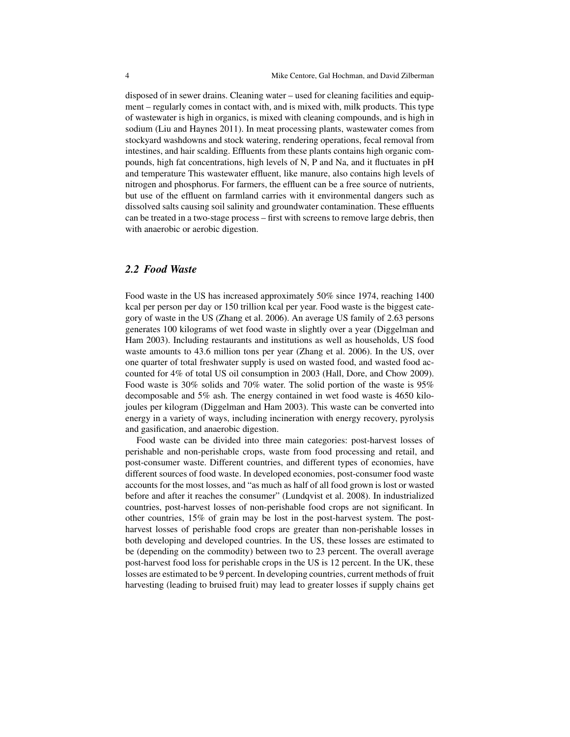disposed of in sewer drains. Cleaning water – used for cleaning facilities and equipment – regularly comes in contact with, and is mixed with, milk products. This type of wastewater is high in organics, is mixed with cleaning compounds, and is high in sodium (Liu and Haynes 2011). In meat processing plants, wastewater comes from stockyard washdowns and stock watering, rendering operations, fecal removal from intestines, and hair scalding. Effluents from these plants contains high organic compounds, high fat concentrations, high levels of N, P and Na, and it fluctuates in pH and temperature This wastewater effluent, like manure, also contains high levels of nitrogen and phosphorus. For farmers, the effluent can be a free source of nutrients, but use of the effluent on farmland carries with it environmental dangers such as dissolved salts causing soil salinity and groundwater contamination. These effluents can be treated in a two-stage process – first with screens to remove large debris, then with anaerobic or aerobic digestion.

## *2.2 Food Waste*

Food waste in the US has increased approximately 50% since 1974, reaching 1400 kcal per person per day or 150 trillion kcal per year. Food waste is the biggest category of waste in the US (Zhang et al. 2006). An average US family of 2.63 persons generates 100 kilograms of wet food waste in slightly over a year (Diggelman and Ham 2003). Including restaurants and institutions as well as households, US food waste amounts to 43.6 million tons per year (Zhang et al. 2006). In the US, over one quarter of total freshwater supply is used on wasted food, and wasted food accounted for 4% of total US oil consumption in 2003 (Hall, Dore, and Chow 2009). Food waste is 30% solids and 70% water. The solid portion of the waste is 95% decomposable and 5% ash. The energy contained in wet food waste is 4650 kilojoules per kilogram (Diggelman and Ham 2003). This waste can be converted into energy in a variety of ways, including incineration with energy recovery, pyrolysis and gasification, and anaerobic digestion.

Food waste can be divided into three main categories: post-harvest losses of perishable and non-perishable crops, waste from food processing and retail, and post-consumer waste. Different countries, and different types of economies, have different sources of food waste. In developed economies, post-consumer food waste accounts for the most losses, and "as much as half of all food grown is lost or wasted before and after it reaches the consumer" (Lundqvist et al. 2008). In industrialized countries, post-harvest losses of non-perishable food crops are not significant. In other countries, 15% of grain may be lost in the post-harvest system. The postharvest losses of perishable food crops are greater than non-perishable losses in both developing and developed countries. In the US, these losses are estimated to be (depending on the commodity) between two to 23 percent. The overall average post-harvest food loss for perishable crops in the US is 12 percent. In the UK, these losses are estimated to be 9 percent. In developing countries, current methods of fruit harvesting (leading to bruised fruit) may lead to greater losses if supply chains get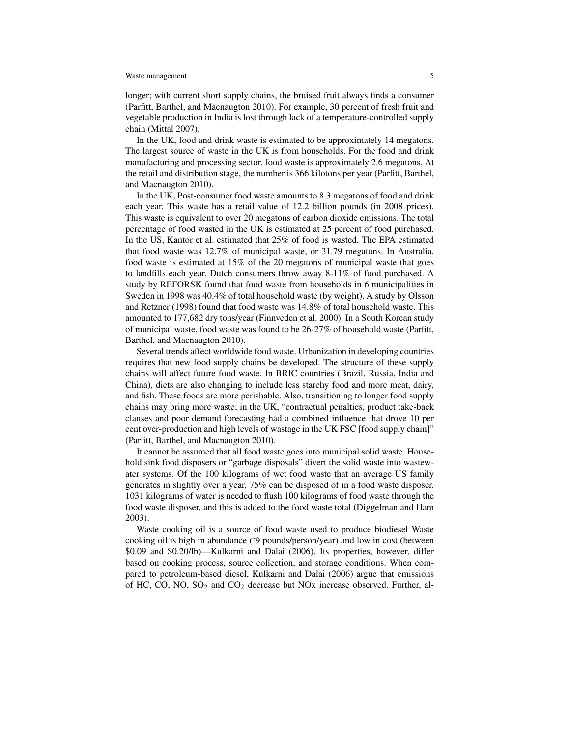longer; with current short supply chains, the bruised fruit always finds a consumer (Parfitt, Barthel, and Macnaugton 2010). For example, 30 percent of fresh fruit and vegetable production in India is lost through lack of a temperature-controlled supply chain (Mittal 2007).

In the UK, food and drink waste is estimated to be approximately 14 megatons. The largest source of waste in the UK is from households. For the food and drink manufacturing and processing sector, food waste is approximately 2.6 megatons. At the retail and distribution stage, the number is 366 kilotons per year (Parfitt, Barthel, and Macnaugton 2010).

In the UK, Post-consumer food waste amounts to 8.3 megatons of food and drink each year. This waste has a retail value of 12.2 billion pounds (in 2008 prices). This waste is equivalent to over 20 megatons of carbon dioxide emissions. The total percentage of food wasted in the UK is estimated at 25 percent of food purchased. In the US, Kantor et al. estimated that 25% of food is wasted. The EPA estimated that food waste was 12.7% of municipal waste, or 31.79 megatons. In Australia, food waste is estimated at 15% of the 20 megatons of municipal waste that goes to landfills each year. Dutch consumers throw away 8-11% of food purchased. A study by REFORSK found that food waste from households in 6 municipalities in Sweden in 1998 was 40.4% of total household waste (by weight). A study by Olsson and Retzner (1998) found that food waste was 14.8% of total household waste. This amounted to 177,682 dry tons/year (Finnveden et al. 2000). In a South Korean study of municipal waste, food waste was found to be 26-27% of household waste (Parfitt, Barthel, and Macnaugton 2010).

Several trends affect worldwide food waste. Urbanization in developing countries requires that new food supply chains be developed. The structure of these supply chains will affect future food waste. In BRIC countries (Brazil, Russia, India and China), diets are also changing to include less starchy food and more meat, dairy, and fish. These foods are more perishable. Also, transitioning to longer food supply chains may bring more waste; in the UK, "contractual penalties, product take-back clauses and poor demand forecasting had a combined influence that drove 10 per cent over-production and high levels of wastage in the UK FSC [food supply chain]" (Parfitt, Barthel, and Macnaugton 2010).

It cannot be assumed that all food waste goes into municipal solid waste. Household sink food disposers or "garbage disposals" divert the solid waste into wastewater systems. Of the 100 kilograms of wet food waste that an average US family generates in slightly over a year, 75% can be disposed of in a food waste disposer. 1031 kilograms of water is needed to flush 100 kilograms of food waste through the food waste disposer, and this is added to the food waste total (Diggelman and Ham 2003).

Waste cooking oil is a source of food waste used to produce biodiesel Waste cooking oil is high in abundance (˜9 pounds/person/year) and low in cost (between \$0.09 and \$0.20/lb)—Kulkarni and Dalai (2006). Its properties, however, differ based on cooking process, source collection, and storage conditions. When compared to petroleum-based diesel, Kulkarni and Dalai (2006) argue that emissions of HC, CO, NO,  $SO_2$  and  $CO_2$  decrease but NOx increase observed. Further, al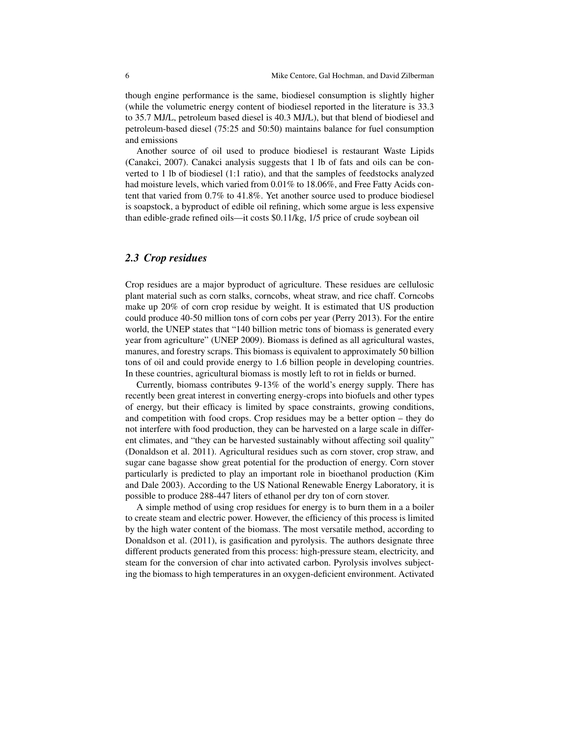though engine performance is the same, biodiesel consumption is slightly higher (while the volumetric energy content of biodiesel reported in the literature is 33.3 to 35.7 MJ/L, petroleum based diesel is 40.3 MJ/L), but that blend of biodiesel and petroleum-based diesel (75:25 and 50:50) maintains balance for fuel consumption and emissions

Another source of oil used to produce biodiesel is restaurant Waste Lipids (Canakci, 2007). Canakci analysis suggests that 1 lb of fats and oils can be converted to 1 lb of biodiesel (1:1 ratio), and that the samples of feedstocks analyzed had moisture levels, which varied from 0.01% to 18.06%, and Free Fatty Acids content that varied from 0.7% to 41.8%. Yet another source used to produce biodiesel is soapstock, a byproduct of edible oil refining, which some argue is less expensive than edible-grade refined oils—it costs \$0.11/kg, 1/5 price of crude soybean oil

# *2.3 Crop residues*

Crop residues are a major byproduct of agriculture. These residues are cellulosic plant material such as corn stalks, corncobs, wheat straw, and rice chaff. Corncobs make up 20% of corn crop residue by weight. It is estimated that US production could produce 40-50 million tons of corn cobs per year (Perry 2013). For the entire world, the UNEP states that "140 billion metric tons of biomass is generated every year from agriculture" (UNEP 2009). Biomass is defined as all agricultural wastes, manures, and forestry scraps. This biomass is equivalent to approximately 50 billion tons of oil and could provide energy to 1.6 billion people in developing countries. In these countries, agricultural biomass is mostly left to rot in fields or burned.

Currently, biomass contributes 9-13% of the world's energy supply. There has recently been great interest in converting energy-crops into biofuels and other types of energy, but their efficacy is limited by space constraints, growing conditions, and competition with food crops. Crop residues may be a better option – they do not interfere with food production, they can be harvested on a large scale in different climates, and "they can be harvested sustainably without affecting soil quality" (Donaldson et al. 2011). Agricultural residues such as corn stover, crop straw, and sugar cane bagasse show great potential for the production of energy. Corn stover particularly is predicted to play an important role in bioethanol production (Kim and Dale 2003). According to the US National Renewable Energy Laboratory, it is possible to produce 288-447 liters of ethanol per dry ton of corn stover.

A simple method of using crop residues for energy is to burn them in a a boiler to create steam and electric power. However, the efficiency of this process is limited by the high water content of the biomass. The most versatile method, according to Donaldson et al. (2011), is gasification and pyrolysis. The authors designate three different products generated from this process: high-pressure steam, electricity, and steam for the conversion of char into activated carbon. Pyrolysis involves subjecting the biomass to high temperatures in an oxygen-deficient environment. Activated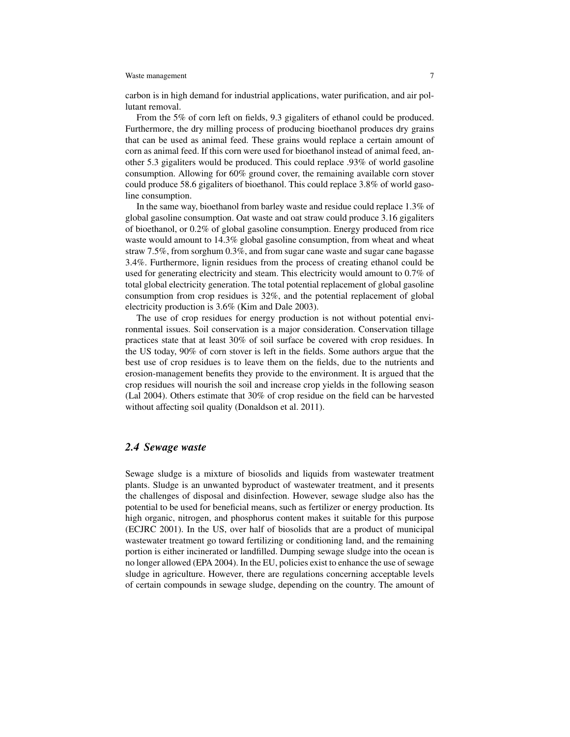carbon is in high demand for industrial applications, water purification, and air pollutant removal.

From the 5% of corn left on fields, 9.3 gigaliters of ethanol could be produced. Furthermore, the dry milling process of producing bioethanol produces dry grains that can be used as animal feed. These grains would replace a certain amount of corn as animal feed. If this corn were used for bioethanol instead of animal feed, another 5.3 gigaliters would be produced. This could replace .93% of world gasoline consumption. Allowing for 60% ground cover, the remaining available corn stover could produce 58.6 gigaliters of bioethanol. This could replace 3.8% of world gasoline consumption.

In the same way, bioethanol from barley waste and residue could replace 1.3% of global gasoline consumption. Oat waste and oat straw could produce 3.16 gigaliters of bioethanol, or 0.2% of global gasoline consumption. Energy produced from rice waste would amount to 14.3% global gasoline consumption, from wheat and wheat straw 7.5%, from sorghum 0.3%, and from sugar cane waste and sugar cane bagasse 3.4%. Furthermore, lignin residues from the process of creating ethanol could be used for generating electricity and steam. This electricity would amount to 0.7% of total global electricity generation. The total potential replacement of global gasoline consumption from crop residues is 32%, and the potential replacement of global electricity production is 3.6% (Kim and Dale 2003).

The use of crop residues for energy production is not without potential environmental issues. Soil conservation is a major consideration. Conservation tillage practices state that at least 30% of soil surface be covered with crop residues. In the US today, 90% of corn stover is left in the fields. Some authors argue that the best use of crop residues is to leave them on the fields, due to the nutrients and erosion-management benefits they provide to the environment. It is argued that the crop residues will nourish the soil and increase crop yields in the following season (Lal 2004). Others estimate that 30% of crop residue on the field can be harvested without affecting soil quality (Donaldson et al. 2011).

# *2.4 Sewage waste*

Sewage sludge is a mixture of biosolids and liquids from wastewater treatment plants. Sludge is an unwanted byproduct of wastewater treatment, and it presents the challenges of disposal and disinfection. However, sewage sludge also has the potential to be used for beneficial means, such as fertilizer or energy production. Its high organic, nitrogen, and phosphorus content makes it suitable for this purpose (ECJRC 2001). In the US, over half of biosolids that are a product of municipal wastewater treatment go toward fertilizing or conditioning land, and the remaining portion is either incinerated or landfilled. Dumping sewage sludge into the ocean is no longer allowed (EPA 2004). In the EU, policies exist to enhance the use of sewage sludge in agriculture. However, there are regulations concerning acceptable levels of certain compounds in sewage sludge, depending on the country. The amount of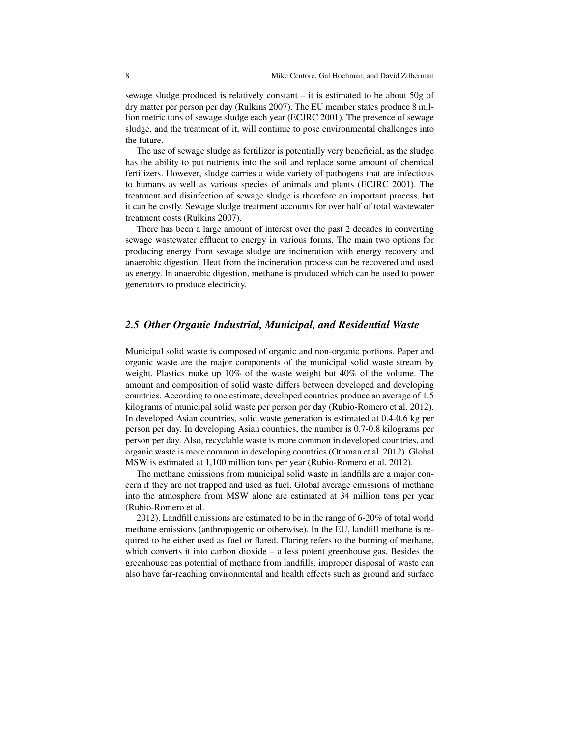sewage sludge produced is relatively constant – it is estimated to be about 50g of dry matter per person per day (Rulkins 2007). The EU member states produce 8 million metric tons of sewage sludge each year (ECJRC 2001). The presence of sewage sludge, and the treatment of it, will continue to pose environmental challenges into the future.

The use of sewage sludge as fertilizer is potentially very beneficial, as the sludge has the ability to put nutrients into the soil and replace some amount of chemical fertilizers. However, sludge carries a wide variety of pathogens that are infectious to humans as well as various species of animals and plants (ECJRC 2001). The treatment and disinfection of sewage sludge is therefore an important process, but it can be costly. Sewage sludge treatment accounts for over half of total wastewater treatment costs (Rulkins 2007).

There has been a large amount of interest over the past 2 decades in converting sewage wastewater effluent to energy in various forms. The main two options for producing energy from sewage sludge are incineration with energy recovery and anaerobic digestion. Heat from the incineration process can be recovered and used as energy. In anaerobic digestion, methane is produced which can be used to power generators to produce electricity.

# *2.5 Other Organic Industrial, Municipal, and Residential Waste*

Municipal solid waste is composed of organic and non-organic portions. Paper and organic waste are the major components of the municipal solid waste stream by weight. Plastics make up 10% of the waste weight but 40% of the volume. The amount and composition of solid waste differs between developed and developing countries. According to one estimate, developed countries produce an average of 1.5 kilograms of municipal solid waste per person per day (Rubio-Romero et al. 2012). In developed Asian countries, solid waste generation is estimated at 0.4-0.6 kg per person per day. In developing Asian countries, the number is 0.7-0.8 kilograms per person per day. Also, recyclable waste is more common in developed countries, and organic waste is more common in developing countries (Othman et al. 2012). Global MSW is estimated at 1,100 million tons per year (Rubio-Romero et al. 2012).

The methane emissions from municipal solid waste in landfills are a major concern if they are not trapped and used as fuel. Global average emissions of methane into the atmosphere from MSW alone are estimated at 34 million tons per year (Rubio-Romero et al.

2012). Landfill emissions are estimated to be in the range of 6-20% of total world methane emissions (anthropogenic or otherwise). In the EU, landfill methane is required to be either used as fuel or flared. Flaring refers to the burning of methane, which converts it into carbon dioxide – a less potent greenhouse gas. Besides the greenhouse gas potential of methane from landfills, improper disposal of waste can also have far-reaching environmental and health effects such as ground and surface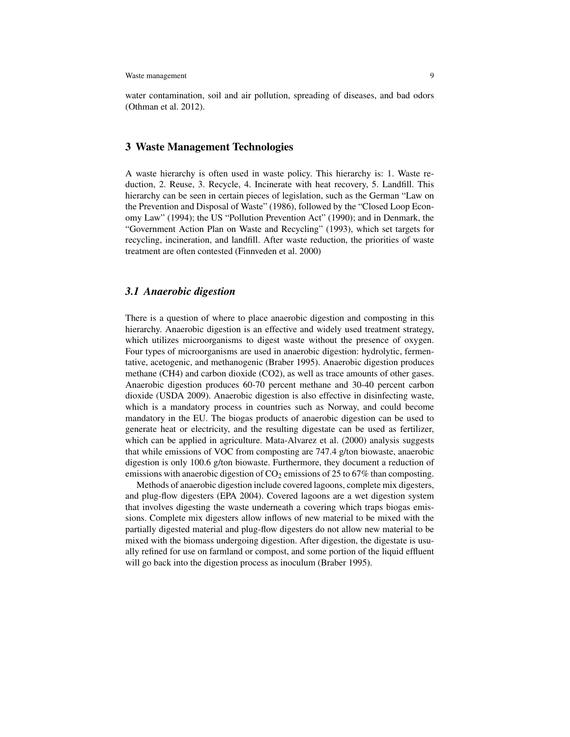water contamination, soil and air pollution, spreading of diseases, and bad odors (Othman et al. 2012).

# 3 Waste Management Technologies

A waste hierarchy is often used in waste policy. This hierarchy is: 1. Waste reduction, 2. Reuse, 3. Recycle, 4. Incinerate with heat recovery, 5. Landfill. This hierarchy can be seen in certain pieces of legislation, such as the German "Law on the Prevention and Disposal of Waste" (1986), followed by the "Closed Loop Economy Law" (1994); the US "Pollution Prevention Act" (1990); and in Denmark, the "Government Action Plan on Waste and Recycling" (1993), which set targets for recycling, incineration, and landfill. After waste reduction, the priorities of waste treatment are often contested (Finnveden et al. 2000)

# *3.1 Anaerobic digestion*

There is a question of where to place anaerobic digestion and composting in this hierarchy. Anaerobic digestion is an effective and widely used treatment strategy, which utilizes microorganisms to digest waste without the presence of oxygen. Four types of microorganisms are used in anaerobic digestion: hydrolytic, fermentative, acetogenic, and methanogenic (Braber 1995). Anaerobic digestion produces methane (CH4) and carbon dioxide (CO2), as well as trace amounts of other gases. Anaerobic digestion produces 60-70 percent methane and 30-40 percent carbon dioxide (USDA 2009). Anaerobic digestion is also effective in disinfecting waste, which is a mandatory process in countries such as Norway, and could become mandatory in the EU. The biogas products of anaerobic digestion can be used to generate heat or electricity, and the resulting digestate can be used as fertilizer, which can be applied in agriculture. Mata-Alvarez et al. (2000) analysis suggests that while emissions of VOC from composting are 747.4 g/ton biowaste, anaerobic digestion is only 100.6 g/ton biowaste. Furthermore, they document a reduction of emissions with anaerobic digestion of  $CO<sub>2</sub>$  emissions of 25 to 67% than composting.

Methods of anaerobic digestion include covered lagoons, complete mix digesters, and plug-flow digesters (EPA 2004). Covered lagoons are a wet digestion system that involves digesting the waste underneath a covering which traps biogas emissions. Complete mix digesters allow inflows of new material to be mixed with the partially digested material and plug-flow digesters do not allow new material to be mixed with the biomass undergoing digestion. After digestion, the digestate is usually refined for use on farmland or compost, and some portion of the liquid effluent will go back into the digestion process as inoculum (Braber 1995).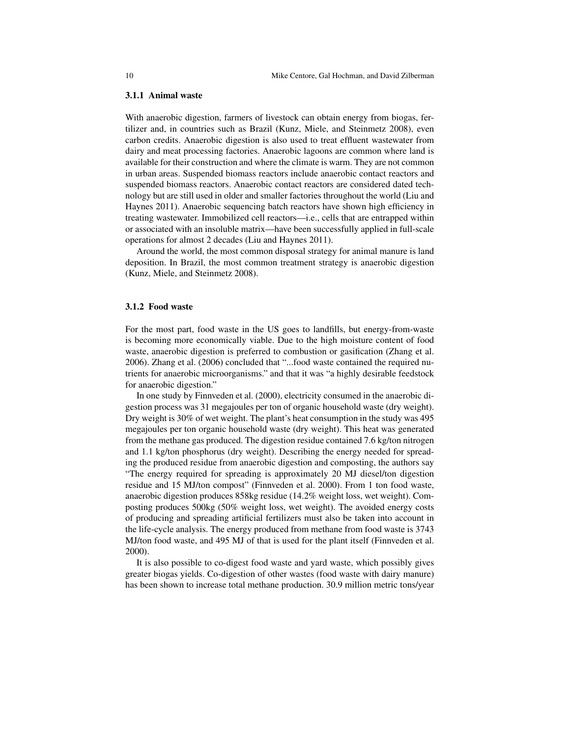#### 3.1.1 Animal waste

With anaerobic digestion, farmers of livestock can obtain energy from biogas, fertilizer and, in countries such as Brazil (Kunz, Miele, and Steinmetz 2008), even carbon credits. Anaerobic digestion is also used to treat effluent wastewater from dairy and meat processing factories. Anaerobic lagoons are common where land is available for their construction and where the climate is warm. They are not common in urban areas. Suspended biomass reactors include anaerobic contact reactors and suspended biomass reactors. Anaerobic contact reactors are considered dated technology but are still used in older and smaller factories throughout the world (Liu and Haynes 2011). Anaerobic sequencing batch reactors have shown high efficiency in treating wastewater. Immobilized cell reactors—i.e., cells that are entrapped within or associated with an insoluble matrix—have been successfully applied in full-scale operations for almost 2 decades (Liu and Haynes 2011).

Around the world, the most common disposal strategy for animal manure is land deposition. In Brazil, the most common treatment strategy is anaerobic digestion (Kunz, Miele, and Steinmetz 2008).

## 3.1.2 Food waste

For the most part, food waste in the US goes to landfills, but energy-from-waste is becoming more economically viable. Due to the high moisture content of food waste, anaerobic digestion is preferred to combustion or gasification (Zhang et al. 2006). Zhang et al. (2006) concluded that "...food waste contained the required nutrients for anaerobic microorganisms." and that it was "a highly desirable feedstock for anaerobic digestion."

In one study by Finnveden et al. (2000), electricity consumed in the anaerobic digestion process was 31 megajoules per ton of organic household waste (dry weight). Dry weight is 30% of wet weight. The plant's heat consumption in the study was 495 megajoules per ton organic household waste (dry weight). This heat was generated from the methane gas produced. The digestion residue contained 7.6 kg/ton nitrogen and 1.1 kg/ton phosphorus (dry weight). Describing the energy needed for spreading the produced residue from anaerobic digestion and composting, the authors say "The energy required for spreading is approximately 20 MJ diesel/ton digestion residue and 15 MJ/ton compost" (Finnveden et al. 2000). From 1 ton food waste, anaerobic digestion produces 858kg residue (14.2% weight loss, wet weight). Composting produces 500kg (50% weight loss, wet weight). The avoided energy costs of producing and spreading artificial fertilizers must also be taken into account in the life-cycle analysis. The energy produced from methane from food waste is 3743 MJ/ton food waste, and 495 MJ of that is used for the plant itself (Finnveden et al. 2000).

It is also possible to co-digest food waste and yard waste, which possibly gives greater biogas yields. Co-digestion of other wastes (food waste with dairy manure) has been shown to increase total methane production. 30.9 million metric tons/year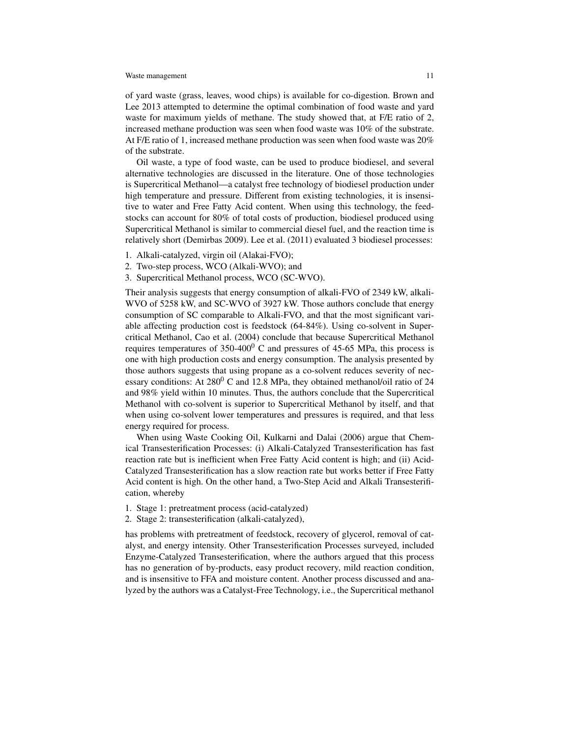of yard waste (grass, leaves, wood chips) is available for co-digestion. Brown and Lee 2013 attempted to determine the optimal combination of food waste and yard waste for maximum yields of methane. The study showed that, at F/E ratio of 2, increased methane production was seen when food waste was 10% of the substrate. At F/E ratio of 1, increased methane production was seen when food waste was 20% of the substrate.

Oil waste, a type of food waste, can be used to produce biodiesel, and several alternative technologies are discussed in the literature. One of those technologies is Supercritical Methanol—a catalyst free technology of biodiesel production under high temperature and pressure. Different from existing technologies, it is insensitive to water and Free Fatty Acid content. When using this technology, the feedstocks can account for 80% of total costs of production, biodiesel produced using Supercritical Methanol is similar to commercial diesel fuel, and the reaction time is relatively short (Demirbas 2009). Lee et al. (2011) evaluated 3 biodiesel processes:

- 1. Alkali-catalyzed, virgin oil (Alakai-FVO);
- 2. Two-step process, WCO (Alkali-WVO); and
- 3. Supercritical Methanol process, WCO (SC-WVO).

Their analysis suggests that energy consumption of alkali-FVO of 2349 kW, alkali-WVO of 5258 kW, and SC-WVO of 3927 kW. Those authors conclude that energy consumption of SC comparable to Alkali-FVO, and that the most significant variable affecting production cost is feedstock (64-84%). Using co-solvent in Supercritical Methanol, Cao et al. (2004) conclude that because Supercritical Methanol requires temperatures of  $350-400^{\circ}$  C and pressures of 45-65 MPa, this process is one with high production costs and energy consumption. The analysis presented by those authors suggests that using propane as a co-solvent reduces severity of necessary conditions: At  $280^0$  C and 12.8 MPa, they obtained methanol/oil ratio of 24 and 98% yield within 10 minutes. Thus, the authors conclude that the Supercritical Methanol with co-solvent is superior to Supercritical Methanol by itself, and that when using co-solvent lower temperatures and pressures is required, and that less energy required for process.

When using Waste Cooking Oil, Kulkarni and Dalai (2006) argue that Chemical Transesterification Processes: (i) Alkali-Catalyzed Transesterification has fast reaction rate but is inefficient when Free Fatty Acid content is high; and (ii) Acid-Catalyzed Transesterification has a slow reaction rate but works better if Free Fatty Acid content is high. On the other hand, a Two-Step Acid and Alkali Transesterification, whereby

- 1. Stage 1: pretreatment process (acid-catalyzed)
- 2. Stage 2: transesterification (alkali-catalyzed),

has problems with pretreatment of feedstock, recovery of glycerol, removal of catalyst, and energy intensity. Other Transesterification Processes surveyed, included Enzyme-Catalyzed Transesterification, where the authors argued that this process has no generation of by-products, easy product recovery, mild reaction condition, and is insensitive to FFA and moisture content. Another process discussed and analyzed by the authors was a Catalyst-Free Technology, i.e., the Supercritical methanol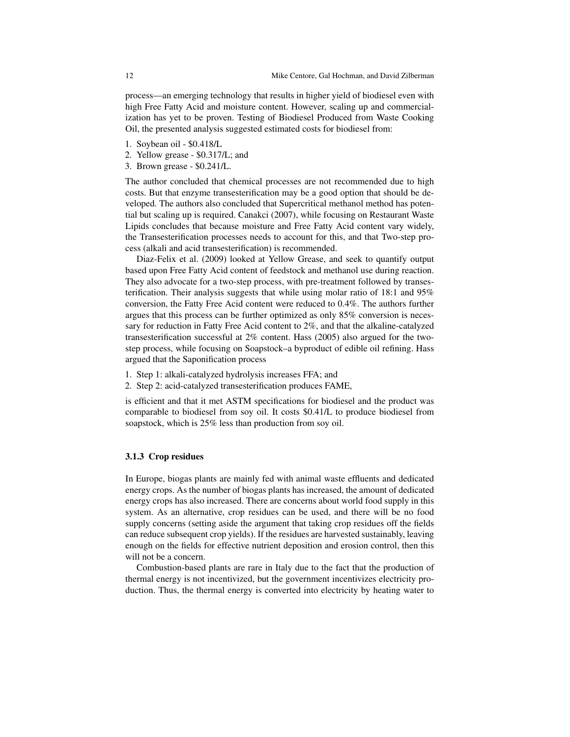process—an emerging technology that results in higher yield of biodiesel even with high Free Fatty Acid and moisture content. However, scaling up and commercialization has yet to be proven. Testing of Biodiesel Produced from Waste Cooking Oil, the presented analysis suggested estimated costs for biodiesel from:

- 1. Soybean oil \$0.418/L
- 2. Yellow grease \$0.317/L; and
- 3. Brown grease \$0.241/L.

The author concluded that chemical processes are not recommended due to high costs. But that enzyme transesterification may be a good option that should be developed. The authors also concluded that Supercritical methanol method has potential but scaling up is required. Canakci (2007), while focusing on Restaurant Waste Lipids concludes that because moisture and Free Fatty Acid content vary widely, the Transesterification processes needs to account for this, and that Two-step process (alkali and acid transesterification) is recommended.

Diaz-Felix et al. (2009) looked at Yellow Grease, and seek to quantify output based upon Free Fatty Acid content of feedstock and methanol use during reaction. They also advocate for a two-step process, with pre-treatment followed by transesterification. Their analysis suggests that while using molar ratio of 18:1 and 95% conversion, the Fatty Free Acid content were reduced to 0.4%. The authors further argues that this process can be further optimized as only 85% conversion is necessary for reduction in Fatty Free Acid content to 2%, and that the alkaline-catalyzed transesterification successful at 2% content. Hass (2005) also argued for the twostep process, while focusing on Soapstock–a byproduct of edible oil refining. Hass argued that the Saponification process

- 1. Step 1: alkali-catalyzed hydrolysis increases FFA; and
- 2. Step 2: acid-catalyzed transesterification produces FAME,

is efficient and that it met ASTM specifications for biodiesel and the product was comparable to biodiesel from soy oil. It costs \$0.41/L to produce biodiesel from soapstock, which is 25% less than production from soy oil.

## 3.1.3 Crop residues

In Europe, biogas plants are mainly fed with animal waste effluents and dedicated energy crops. As the number of biogas plants has increased, the amount of dedicated energy crops has also increased. There are concerns about world food supply in this system. As an alternative, crop residues can be used, and there will be no food supply concerns (setting aside the argument that taking crop residues off the fields can reduce subsequent crop yields). If the residues are harvested sustainably, leaving enough on the fields for effective nutrient deposition and erosion control, then this will not be a concern.

Combustion-based plants are rare in Italy due to the fact that the production of thermal energy is not incentivized, but the government incentivizes electricity production. Thus, the thermal energy is converted into electricity by heating water to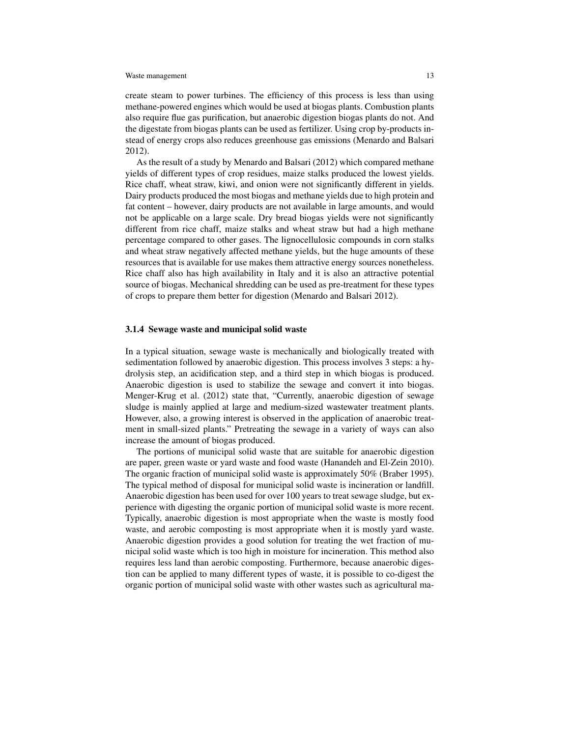create steam to power turbines. The efficiency of this process is less than using methane-powered engines which would be used at biogas plants. Combustion plants also require flue gas purification, but anaerobic digestion biogas plants do not. And the digestate from biogas plants can be used as fertilizer. Using crop by-products instead of energy crops also reduces greenhouse gas emissions (Menardo and Balsari 2012).

As the result of a study by Menardo and Balsari (2012) which compared methane yields of different types of crop residues, maize stalks produced the lowest yields. Rice chaff, wheat straw, kiwi, and onion were not significantly different in yields. Dairy products produced the most biogas and methane yields due to high protein and fat content – however, dairy products are not available in large amounts, and would not be applicable on a large scale. Dry bread biogas yields were not significantly different from rice chaff, maize stalks and wheat straw but had a high methane percentage compared to other gases. The lignocellulosic compounds in corn stalks and wheat straw negatively affected methane yields, but the huge amounts of these resources that is available for use makes them attractive energy sources nonetheless. Rice chaff also has high availability in Italy and it is also an attractive potential source of biogas. Mechanical shredding can be used as pre-treatment for these types of crops to prepare them better for digestion (Menardo and Balsari 2012).

## 3.1.4 Sewage waste and municipal solid waste

In a typical situation, sewage waste is mechanically and biologically treated with sedimentation followed by anaerobic digestion. This process involves 3 steps: a hydrolysis step, an acidification step, and a third step in which biogas is produced. Anaerobic digestion is used to stabilize the sewage and convert it into biogas. Menger-Krug et al. (2012) state that, "Currently, anaerobic digestion of sewage sludge is mainly applied at large and medium-sized wastewater treatment plants. However, also, a growing interest is observed in the application of anaerobic treatment in small-sized plants." Pretreating the sewage in a variety of ways can also increase the amount of biogas produced.

The portions of municipal solid waste that are suitable for anaerobic digestion are paper, green waste or yard waste and food waste (Hanandeh and El-Zein 2010). The organic fraction of municipal solid waste is approximately 50% (Braber 1995). The typical method of disposal for municipal solid waste is incineration or landfill. Anaerobic digestion has been used for over 100 years to treat sewage sludge, but experience with digesting the organic portion of municipal solid waste is more recent. Typically, anaerobic digestion is most appropriate when the waste is mostly food waste, and aerobic composting is most appropriate when it is mostly yard waste. Anaerobic digestion provides a good solution for treating the wet fraction of municipal solid waste which is too high in moisture for incineration. This method also requires less land than aerobic composting. Furthermore, because anaerobic digestion can be applied to many different types of waste, it is possible to co-digest the organic portion of municipal solid waste with other wastes such as agricultural ma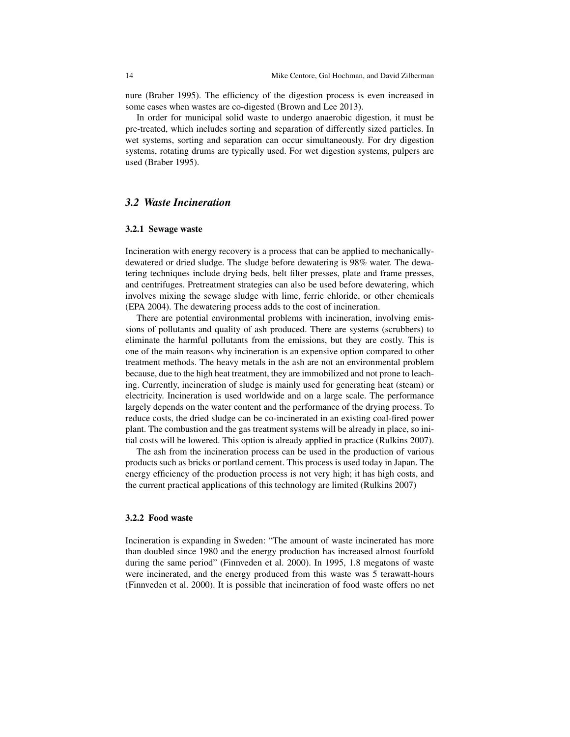nure (Braber 1995). The efficiency of the digestion process is even increased in some cases when wastes are co-digested (Brown and Lee 2013).

In order for municipal solid waste to undergo anaerobic digestion, it must be pre-treated, which includes sorting and separation of differently sized particles. In wet systems, sorting and separation can occur simultaneously. For dry digestion systems, rotating drums are typically used. For wet digestion systems, pulpers are used (Braber 1995).

# *3.2 Waste Incineration*

## 3.2.1 Sewage waste

Incineration with energy recovery is a process that can be applied to mechanicallydewatered or dried sludge. The sludge before dewatering is 98% water. The dewatering techniques include drying beds, belt filter presses, plate and frame presses, and centrifuges. Pretreatment strategies can also be used before dewatering, which involves mixing the sewage sludge with lime, ferric chloride, or other chemicals (EPA 2004). The dewatering process adds to the cost of incineration.

There are potential environmental problems with incineration, involving emissions of pollutants and quality of ash produced. There are systems (scrubbers) to eliminate the harmful pollutants from the emissions, but they are costly. This is one of the main reasons why incineration is an expensive option compared to other treatment methods. The heavy metals in the ash are not an environmental problem because, due to the high heat treatment, they are immobilized and not prone to leaching. Currently, incineration of sludge is mainly used for generating heat (steam) or electricity. Incineration is used worldwide and on a large scale. The performance largely depends on the water content and the performance of the drying process. To reduce costs, the dried sludge can be co-incinerated in an existing coal-fired power plant. The combustion and the gas treatment systems will be already in place, so initial costs will be lowered. This option is already applied in practice (Rulkins 2007).

The ash from the incineration process can be used in the production of various products such as bricks or portland cement. This process is used today in Japan. The energy efficiency of the production process is not very high; it has high costs, and the current practical applications of this technology are limited (Rulkins 2007)

### 3.2.2 Food waste

Incineration is expanding in Sweden: "The amount of waste incinerated has more than doubled since 1980 and the energy production has increased almost fourfold during the same period" (Finnveden et al. 2000). In 1995, 1.8 megatons of waste were incinerated, and the energy produced from this waste was 5 terawatt-hours (Finnveden et al. 2000). It is possible that incineration of food waste offers no net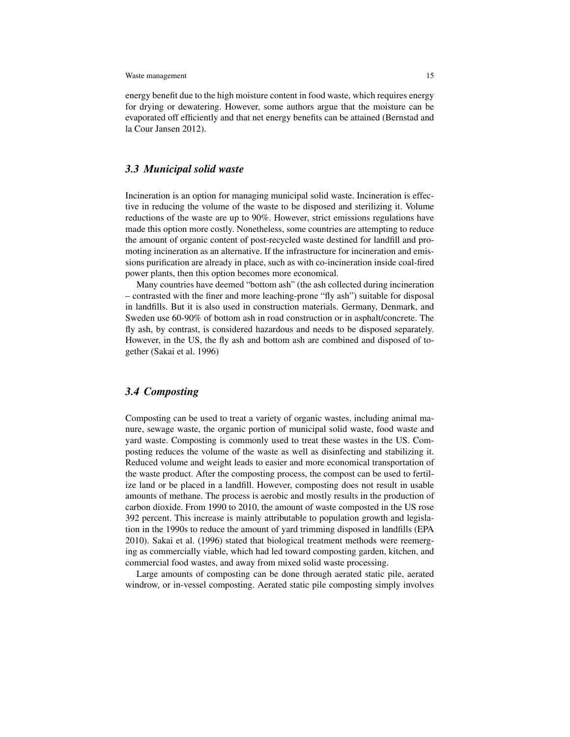energy benefit due to the high moisture content in food waste, which requires energy for drying or dewatering. However, some authors argue that the moisture can be evaporated off efficiently and that net energy benefits can be attained (Bernstad and la Cour Jansen 2012).

# *3.3 Municipal solid waste*

Incineration is an option for managing municipal solid waste. Incineration is effective in reducing the volume of the waste to be disposed and sterilizing it. Volume reductions of the waste are up to 90%. However, strict emissions regulations have made this option more costly. Nonetheless, some countries are attempting to reduce the amount of organic content of post-recycled waste destined for landfill and promoting incineration as an alternative. If the infrastructure for incineration and emissions purification are already in place, such as with co-incineration inside coal-fired power plants, then this option becomes more economical.

Many countries have deemed "bottom ash" (the ash collected during incineration – contrasted with the finer and more leaching-prone "fly ash") suitable for disposal in landfills. But it is also used in construction materials. Germany, Denmark, and Sweden use 60-90% of bottom ash in road construction or in asphalt/concrete. The fly ash, by contrast, is considered hazardous and needs to be disposed separately. However, in the US, the fly ash and bottom ash are combined and disposed of together (Sakai et al. 1996)

# *3.4 Composting*

Composting can be used to treat a variety of organic wastes, including animal manure, sewage waste, the organic portion of municipal solid waste, food waste and yard waste. Composting is commonly used to treat these wastes in the US. Composting reduces the volume of the waste as well as disinfecting and stabilizing it. Reduced volume and weight leads to easier and more economical transportation of the waste product. After the composting process, the compost can be used to fertilize land or be placed in a landfill. However, composting does not result in usable amounts of methane. The process is aerobic and mostly results in the production of carbon dioxide. From 1990 to 2010, the amount of waste composted in the US rose 392 percent. This increase is mainly attributable to population growth and legislation in the 1990s to reduce the amount of yard trimming disposed in landfills (EPA 2010). Sakai et al. (1996) stated that biological treatment methods were reemerging as commercially viable, which had led toward composting garden, kitchen, and commercial food wastes, and away from mixed solid waste processing.

Large amounts of composting can be done through aerated static pile, aerated windrow, or in-vessel composting. Aerated static pile composting simply involves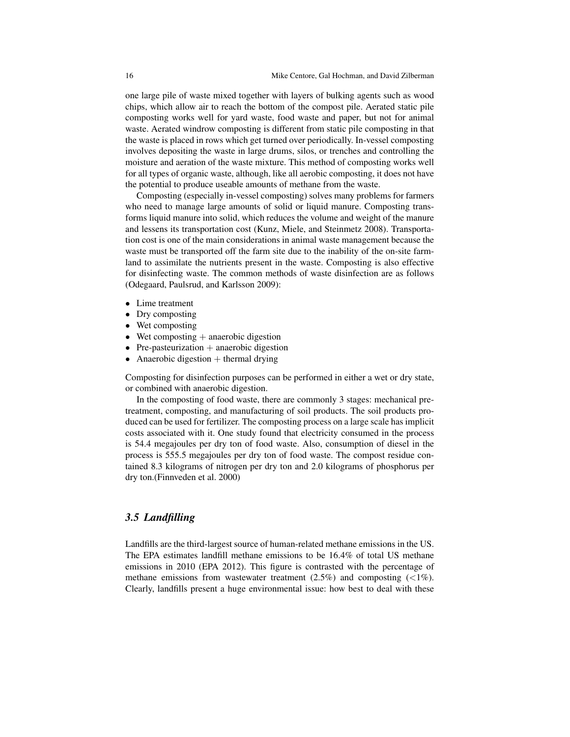one large pile of waste mixed together with layers of bulking agents such as wood chips, which allow air to reach the bottom of the compost pile. Aerated static pile composting works well for yard waste, food waste and paper, but not for animal waste. Aerated windrow composting is different from static pile composting in that the waste is placed in rows which get turned over periodically. In-vessel composting involves depositing the waste in large drums, silos, or trenches and controlling the moisture and aeration of the waste mixture. This method of composting works well for all types of organic waste, although, like all aerobic composting, it does not have the potential to produce useable amounts of methane from the waste.

Composting (especially in-vessel composting) solves many problems for farmers who need to manage large amounts of solid or liquid manure. Composting transforms liquid manure into solid, which reduces the volume and weight of the manure and lessens its transportation cost (Kunz, Miele, and Steinmetz 2008). Transportation cost is one of the main considerations in animal waste management because the waste must be transported off the farm site due to the inability of the on-site farmland to assimilate the nutrients present in the waste. Composting is also effective for disinfecting waste. The common methods of waste disinfection are as follows (Odegaard, Paulsrud, and Karlsson 2009):

- Lime treatment
- Dry composting
- Wet composting
- Wet composting  $+$  anaerobic digestion
- $Pre-pasterization + anaerobic digestion$
- Anaerobic digestion  $+$  thermal drying

Composting for disinfection purposes can be performed in either a wet or dry state, or combined with anaerobic digestion.

In the composting of food waste, there are commonly 3 stages: mechanical pretreatment, composting, and manufacturing of soil products. The soil products produced can be used for fertilizer. The composting process on a large scale has implicit costs associated with it. One study found that electricity consumed in the process is 54.4 megajoules per dry ton of food waste. Also, consumption of diesel in the process is 555.5 megajoules per dry ton of food waste. The compost residue contained 8.3 kilograms of nitrogen per dry ton and 2.0 kilograms of phosphorus per dry ton.(Finnveden et al. 2000)

# *3.5 Landfilling*

Landfills are the third-largest source of human-related methane emissions in the US. The EPA estimates landfill methane emissions to be 16.4% of total US methane emissions in 2010 (EPA 2012). This figure is contrasted with the percentage of methane emissions from wastewater treatment  $(2.5\%)$  and composting  $(<1\%)$ . Clearly, landfills present a huge environmental issue: how best to deal with these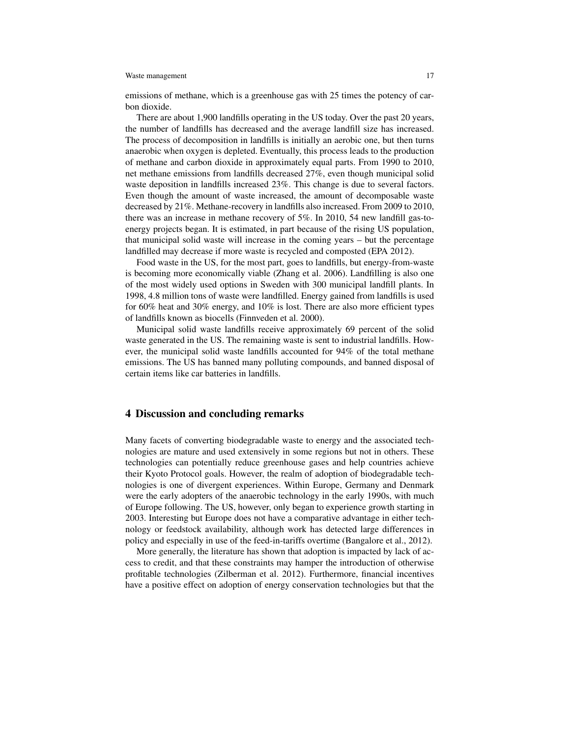emissions of methane, which is a greenhouse gas with 25 times the potency of carbon dioxide.

There are about 1,900 landfills operating in the US today. Over the past 20 years, the number of landfills has decreased and the average landfill size has increased. The process of decomposition in landfills is initially an aerobic one, but then turns anaerobic when oxygen is depleted. Eventually, this process leads to the production of methane and carbon dioxide in approximately equal parts. From 1990 to 2010, net methane emissions from landfills decreased 27%, even though municipal solid waste deposition in landfills increased 23%. This change is due to several factors. Even though the amount of waste increased, the amount of decomposable waste decreased by 21%. Methane-recovery in landfills also increased. From 2009 to 2010, there was an increase in methane recovery of 5%. In 2010, 54 new landfill gas-toenergy projects began. It is estimated, in part because of the rising US population, that municipal solid waste will increase in the coming years – but the percentage landfilled may decrease if more waste is recycled and composted (EPA 2012).

Food waste in the US, for the most part, goes to landfills, but energy-from-waste is becoming more economically viable (Zhang et al. 2006). Landfilling is also one of the most widely used options in Sweden with 300 municipal landfill plants. In 1998, 4.8 million tons of waste were landfilled. Energy gained from landfills is used for 60% heat and 30% energy, and 10% is lost. There are also more efficient types of landfills known as biocells (Finnveden et al. 2000).

Municipal solid waste landfills receive approximately 69 percent of the solid waste generated in the US. The remaining waste is sent to industrial landfills. However, the municipal solid waste landfills accounted for 94% of the total methane emissions. The US has banned many polluting compounds, and banned disposal of certain items like car batteries in landfills.

# 4 Discussion and concluding remarks

Many facets of converting biodegradable waste to energy and the associated technologies are mature and used extensively in some regions but not in others. These technologies can potentially reduce greenhouse gases and help countries achieve their Kyoto Protocol goals. However, the realm of adoption of biodegradable technologies is one of divergent experiences. Within Europe, Germany and Denmark were the early adopters of the anaerobic technology in the early 1990s, with much of Europe following. The US, however, only began to experience growth starting in 2003. Interesting but Europe does not have a comparative advantage in either technology or feedstock availability, although work has detected large differences in policy and especially in use of the feed-in-tariffs overtime (Bangalore et al., 2012).

More generally, the literature has shown that adoption is impacted by lack of access to credit, and that these constraints may hamper the introduction of otherwise profitable technologies (Zilberman et al. 2012). Furthermore, financial incentives have a positive effect on adoption of energy conservation technologies but that the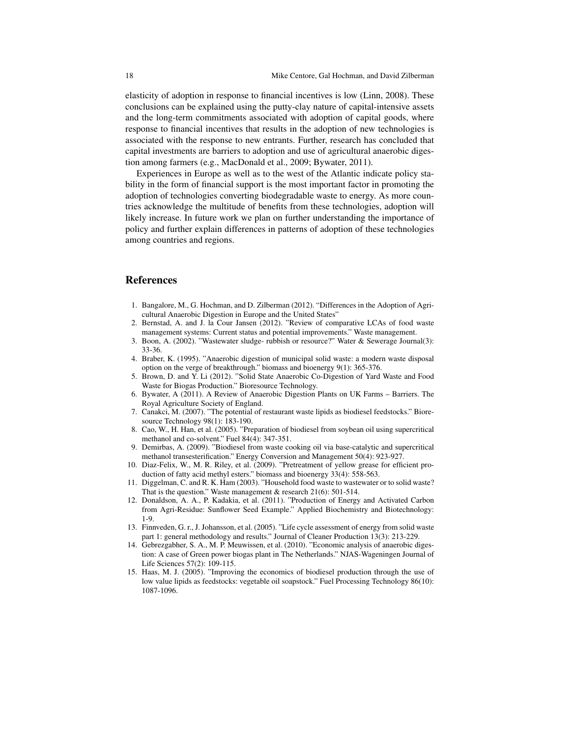elasticity of adoption in response to financial incentives is low (Linn, 2008). These conclusions can be explained using the putty-clay nature of capital-intensive assets and the long-term commitments associated with adoption of capital goods, where response to financial incentives that results in the adoption of new technologies is associated with the response to new entrants. Further, research has concluded that capital investments are barriers to adoption and use of agricultural anaerobic digestion among farmers (e.g., MacDonald et al., 2009; Bywater, 2011).

Experiences in Europe as well as to the west of the Atlantic indicate policy stability in the form of financial support is the most important factor in promoting the adoption of technologies converting biodegradable waste to energy. As more countries acknowledge the multitude of benefits from these technologies, adoption will likely increase. In future work we plan on further understanding the importance of policy and further explain differences in patterns of adoption of these technologies among countries and regions.

# References

- 1. Bangalore, M., G. Hochman, and D. Zilberman (2012). "Differences in the Adoption of Agricultural Anaerobic Digestion in Europe and the United States"
- 2. Bernstad, A. and J. la Cour Jansen (2012). "Review of comparative LCAs of food waste management systems: Current status and potential improvements." Waste management.
- 3. Boon, A. (2002). "Wastewater sludge- rubbish or resource?" Water & Sewerage Journal(3): 33-36.
- 4. Braber, K. (1995). "Anaerobic digestion of municipal solid waste: a modern waste disposal option on the verge of breakthrough." biomass and bioenergy 9(1): 365-376.
- 5. Brown, D. and Y. Li (2012). "Solid State Anaerobic Co-Digestion of Yard Waste and Food Waste for Biogas Production." Bioresource Technology.
- 6. Bywater, A (2011). A Review of Anaerobic Digestion Plants on UK Farms Barriers. The Royal Agriculture Society of England.
- 7. Canakci, M. (2007). "The potential of restaurant waste lipids as biodiesel feedstocks." Bioresource Technology 98(1): 183-190.
- 8. Cao, W., H. Han, et al. (2005). "Preparation of biodiesel from soybean oil using supercritical methanol and co-solvent." Fuel 84(4): 347-351.
- 9. Demirbas, A. (2009). "Biodiesel from waste cooking oil via base-catalytic and supercritical methanol transesterification." Energy Conversion and Management 50(4): 923-927.
- 10. Diaz-Felix, W., M. R. Riley, et al. (2009). "Pretreatment of yellow grease for efficient production of fatty acid methyl esters." biomass and bioenergy 33(4): 558-563.
- 11. Diggelman, C. and R. K. Ham (2003). "Household food waste to wastewater or to solid waste? That is the question." Waste management & research 21(6): 501-514.
- 12. Donaldson, A. A., P. Kadakia, et al. (2011). "Production of Energy and Activated Carbon from Agri-Residue: Sunflower Seed Example." Applied Biochemistry and Biotechnology: 1-9.
- 13. Finnveden, G. r., J. Johansson, et al. (2005). "Life cycle assessment of energy from solid waste part 1: general methodology and results." Journal of Cleaner Production 13(3): 213-229.
- 14. Gebrezgabher, S. A., M. P. Meuwissen, et al. (2010). "Economic analysis of anaerobic digestion: A case of Green power biogas plant in The Netherlands." NJAS-Wageningen Journal of Life Sciences 57(2): 109-115.
- 15. Haas, M. J. (2005). "Improving the economics of biodiesel production through the use of low value lipids as feedstocks: vegetable oil soapstock." Fuel Processing Technology 86(10): 1087-1096.